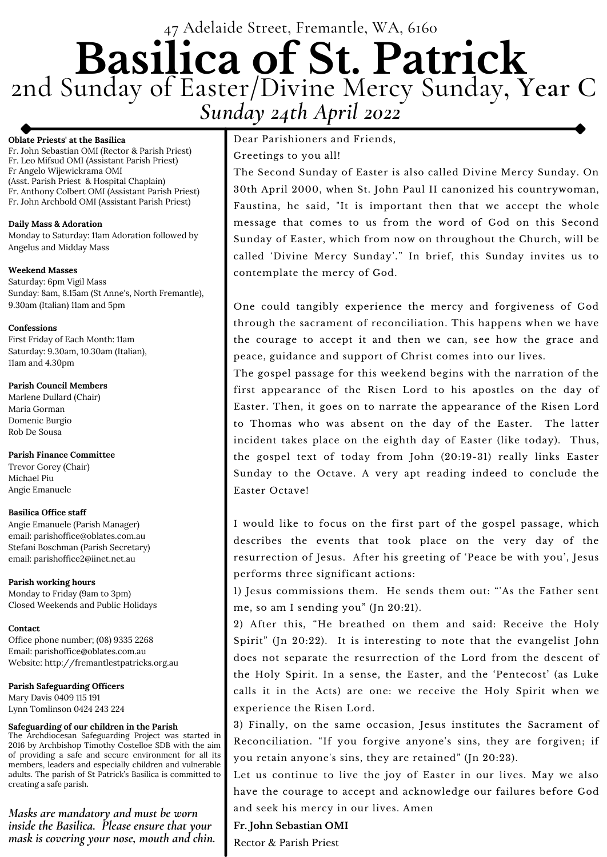# 47 Adelaide Street, Fremantle, WA, 6160 **Basilica of St. Patrick** 2nd Sunday of Easter/Divine Mercy Sunday**, Year C** *Sunday 24th April 2022*

### **Oblate Priests' at the Basilica**

Fr. John Sebastian OMI (Rector & Parish Priest) Fr. Leo Mifsud OMI (Assistant Parish Priest) Fr Angelo Wijewickrama OMI (Asst. Parish Priest & Hospital Chaplain) Fr. Anthony Colbert OMI (Assistant Parish Priest) Fr. John Archbold OMI (Assistant Parish Priest)

### **Daily Mass & Adoration**

Monday to Saturday: 11am Adoration followed by Angelus and Midday Mass

#### **Weekend Masses**

Saturday: 6pm Vigil Mass Sunday: 8am, 8.15am (St Anne's, North Fremantle), 9.30am (Italian) 11am and 5pm

### **Confessions**

First Friday of Each Month: 11am Saturday: 9.30am, 10.30am (Italian), 11am and 4.30pm

### **Parish Council Members**

Marlene Dullard (Chair) Maria Gorman Domenic Burgio Rob De Sousa

**Parish Finance Committee** Trevor Gorey (Chair) Michael Piu

Angie Emanuele

### **Basilica Office staff**

Angie Emanuele (Parish Manager) email: parishoffice@oblates.com.au Stefani Boschman (Parish Secretary) email: parishoffice2@iinet.net.au

#### **Parish working hours**

Monday to Friday (9am to 3pm) Closed Weekends and Public Holidays

#### **Contact**

Office phone number; (08) 9335 2268

Email: parishoffice@oblates.com.au Website: http://fremantlestpatricks.org.au

**Parish Safeguarding Officers** Mary Davis 0409 115 191 Lynn Tomlinson 0424 243 224

#### **Safeguarding of our children in the Parish**

The Archdiocesan Safeguarding Project was started in 2016 by Archbishop Timothy Costelloe SDB with the aim of providing a safe and secure environment for all its members, leaders and especially children and vulnerable adults. The parish of St Patrick's Basilica is committed to creating a safe parish.

Dear Parishioners and Friends,

Greetings to you all!

The Second Sunday of Easter is also called Divine Mercy Sunday. On 30th April 2000, when St. John Paul II canonized his countrywoman, Faustina, he said, "It is important then that we accept the whole message that comes to us from the word of God on this Second Sunday of Easter, which from now on throughout the Church, will be called 'Divine Mercy Sunday'." In brief, this Sunday invites us to contemplate the mercy of God.

One could tangibly experience the mercy and forgiveness of God through the sacrament of reconciliation. This happens when we have the courage to accept it and then we can, see how the grace and peace, guidance and support of Christ comes into our lives.

The gospel passage for this weekend begins with the narration of the first appearance of the Risen Lord to his apostles on the day of Easter. Then, it goes on to narrate the appearance of the Risen Lord to Thomas who was absent on the day of the Easter. The latter incident takes place on the eighth day of Easter (like today). Thus, the gospel text of today from John (20:19-31) really links Easter Sunday to the Octave. A very apt reading indeed to conclude the Easter Octave!

I would like to focus on the first part of the gospel passage, which describes the events that took place on the very day of the resurrection of Jesus. After his greeting of 'Peace be with you', Jesus performs three significant actions:

1) Jesus commissions them. He sends them out: "'As the Father sent me, so am I sending you" (Jn 20:21).

2) After this, "He breathed on them and said: Receive the Holy Spirit" (Jn 20:22). It is interesting to note that the evangelist John

does not separate the resurrection of the Lord from the descent of the Holy Spirit. In a sense, the Easter, and the 'Pentecost' (as Luke calls it in the Acts) are one: we receive the Holy Spirit when we experience the Risen Lord.

3) Finally, on the same occasion, Jesus institutes the Sacrament of Reconciliation. "If you forgive anyone's sins, they are forgiven; if you retain anyone's sins, they are retained" (Jn 20:23).

Let us continue to live the joy of Easter in our lives. May we also have the courage to accept and acknowledge our failures before God and seek his mercy in our lives. Amen

**Fr. John Sebastian OMI**

Rector & Parish Priest

*Masks are mandatory and must be worn inside the Basilica. Please ensure that your mask is covering your nose, mouth and chin.*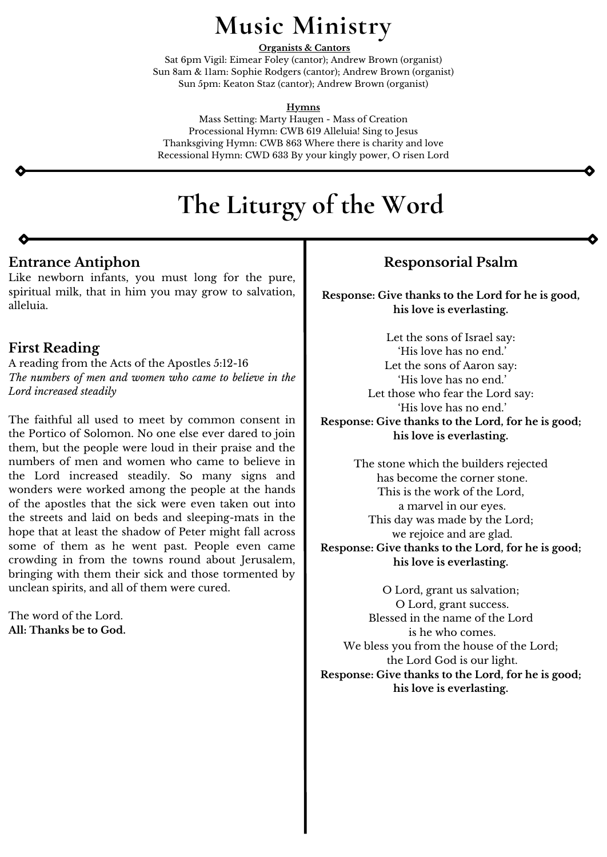## **Entrance Antiphon**

Like newborn infants, you must long for the pure, spiritual milk, that in him you may grow to salvation, alleluia.

## **First Reading**

A reading from the Acts of the Apostles 5:12-16 *The numbers of men and women who came to believe in the Lord increased steadily*

The faithful all used to meet by common consent in the Portico of Solomon. No one else ever dared to join them, but the people were loud in their praise and the numbers of men and women who came to believe in the Lord increased steadily. So many signs and wonders were worked among the people at the hands of the apostles that the sick were even taken out into the streets and laid on beds and sleeping-mats in the hope that at least the shadow of Peter might fall across some of them as he went past. People even came crowding in from the towns round about Jerusalem, bringing with them their sick and those tormented by unclean spirits, and all of them were cured.

The word of the Lord. **All: Thanks be to God.**

# **The Liturgy of the Word**

# **Music Ministry**

## **Organists & Cantors**

Sat 6pm Vigil: Eimear Foley (cantor); Andrew Brown (organist) Sun 8am & 11am: Sophie Rodgers (cantor); Andrew Brown (organist) Sun 5pm: Keaton Staz (cantor); Andrew Brown (organist)

**Hymns**

Mass Setting: Marty Haugen - Mass of Creation Processional Hymn: CWB 619 Alleluia! Sing to Jesus Thanksgiving Hymn: CWB 863 Where there is charity and love Recessional Hymn: CWD 633 By your kingly power, O risen Lord

## **Responsorial Psalm**

**Response: Give thanks to the Lord for he is good, his love is everlasting.**

Let the sons of Israel say: 'His love has no end.' Let the sons of Aaron say: 'His love has no end.' Let those who fear the Lord say: 'His love has no end.' **Response: Give thanks to the Lord, for he is good; his love is everlasting.**

The stone which the builders rejected has become the corner stone. This is the work of the Lord, a marvel in our eyes. This day was made by the Lord; we rejoice and are glad. **Response: Give thanks to the Lord, for he is good; his love is everlasting.**

O Lord, grant us salvation; O Lord, grant success. Blessed in the name of the Lord is he who comes. We bless you from the house of the Lord; the Lord God is our light. **Response: Give thanks to the Lord, for he is good; his love is everlasting.**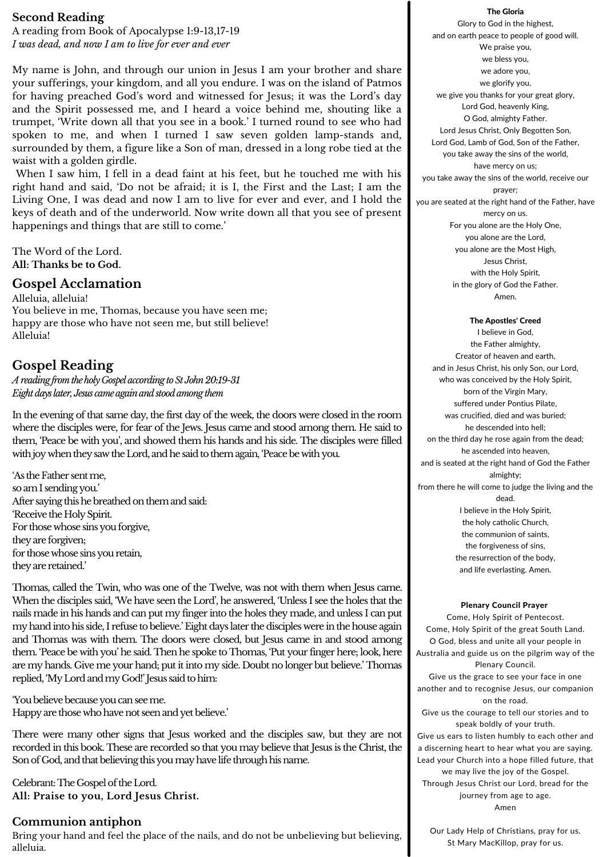## **Gospel Acclamation**

Alleluia, alleluia! You believe in me, Thomas, because you have seen me; happy are those who have not seen me, but still believe! Alleluia!

In the evening of that same day, the first day of the week, the doors were closed in the room where the disciples were, for fear of the Jews. Jesus came and stood among them. He said to them, 'Peace be with you', and showed them his hands and his side. The disciples were filled with joy when they saw the Lord, and he said to them again, 'Peace be with you.

'As the Father sent me, soamI sendingyou.' After saying this he breathed on them and said: 'Receive the Holy Spirit. For those whose sins you forgive, they are forgiven; for those whose sins you retain, they are retained.'

## **Gospel Reading**

*AreadingfromtheholyGospelaccordingtoStJohn20:19-31 Eightdayslater,Jesus cameagainandstoodamongthem*

them. 'Peace be with you' he said. Then he spoke to Thomas, 'Put your finger here; look, here are my hands. Give me your hand; put it into my side. Doubt no longer but believe.' Thomas replied, 'My Lord and my God!' Jesus said to him:

'You believe because you can see me. Happy are those who have not seen and yet believe.'

There were many other signs that Jesus worked and the disciples saw, but they are not recorded in this book. These are recorded so that you may believe that Jesus is the Christ, the Son of God, and that believing this you may have life through his name.

Celebrant: The Gospel of the Lord. **All: Praise to you, Lord Jesus Christ.**

Thomas, called the Twin, who was one of the Twelve, was not with them when Jesus came. When the disciples said, 'We have seen the Lord', he answered, 'Unless I see the holes that the nails made in his hands and can put my finger into the holes they made, and unless I can put my hand into his side, I refuse to believe.' Eight days later the disciples were in the house again and Thomas was with them. The doors were closed, but Jesus came in and stood among

## **Communion antiphon**

Bring your hand and feel the place of the nails, and do not be unbelieving but believing, alleluia.

#### The Gloria

Glory to God in the highest, and on earth peace to people of good will. We praise you, we bless you, we adore you, we glorify you, we give you thanks for your great glory, Lord God, heavenly King, O God, almighty Father. Lord Jesus Christ, Only Begotten Son, Lord God, Lamb of God, Son of the Father, you take away the sins of the world, have mercy on us; you take away the sins of the world, receive our prayer; you are seated at the right hand of the Father, have mercy on us. For you alone are the Holy One, you alone are the Lord, you alone are the Most High, Jesus Christ, with the Holy Spirit, in the glory of God the Father. Amen.

#### The Apostles' Creed

I believe in God, the Father almighty, Creator of heaven and earth, and in Jesus Christ, his only Son, our Lord, who was conceived by the Holy Spirit, born of the Virgin Mary, suffered under Pontius Pilate, was crucified, died and was buried; he descended into hell; on the third day he rose again from the dead; he ascended into heaven, and is seated at the right hand of God the Father almighty; from there he will come to judge the living and the dead. I believe in the Holy Spirit, the holy catholic Church, the communion of saints, the forgiveness of sins, the resurrection of the body, and life everlasting. Amen.

#### Plenary Council Prayer

Come, Holy Spirit of Pentecost. Come, Holy Spirit of the great South Land. O God, bless and unite all your people in Australia and guide us on the pilgrim way of the Plenary Council. Give us the grace to see your face in one another and to recognise Jesus, our companion on the road. Give us the courage to tell our stories and to speak boldly of your truth. Give us ears to listen humbly to each other and a discerning heart to hear what you are saying. Lead your Church into a hope filled future, that we may live the joy of the Gospel. Through Jesus Christ our Lord, bread for the journey from age to age. Amen

Our Lady Help of Christians, pray for us. St Mary MacKillop, pray for us.

## **Second Reading**

A reading from Book of Apocalypse 1:9-13,17-19 *I was dead, and now I am to live for ever and ever*

My name is John, and through our union in Jesus I am your brother and share your sufferings, your kingdom, and all you endure. I was on the island of Patmos for having preached God's word and witnessed for Jesus; it was the Lord's day and the Spirit possessed me, and I heard a voice behind me, shouting like a trumpet, 'Write down all that you see in a book.' I turned round to see who had spoken to me, and when I turned I saw seven golden lamp-stands and, surrounded by them, a figure like a Son of man, dressed in a long robe tied at the waist with a golden girdle.

When I saw him, I fell in a dead faint at his feet, but he touched me with his right hand and said, 'Do not be afraid; it is I, the First and the Last; I am the Living One, I was dead and now I am to live for ever and ever, and I hold the keys of death and of the underworld. Now write down all that you see of present happenings and things that are still to come.'

The Word of the Lord. **All: Thanks be to God.**